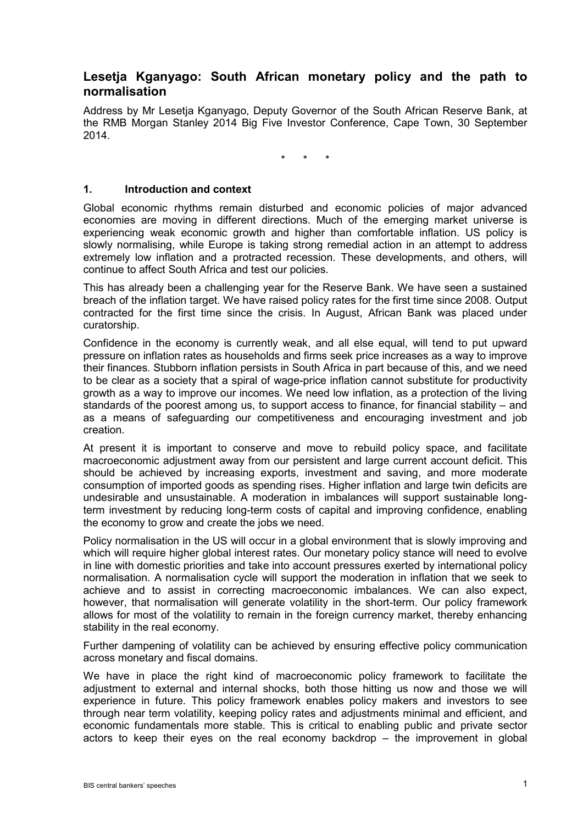# **Lesetja Kganyago: South African monetary policy and the path to normalisation**

Address by Mr Lesetja Kganyago, Deputy Governor of the South African Reserve Bank, at the RMB Morgan Stanley 2014 Big Five Investor Conference, Cape Town, 30 September 2014.

\* \* \*

#### **1. Introduction and context**

Global economic rhythms remain disturbed and economic policies of major advanced economies are moving in different directions. Much of the emerging market universe is experiencing weak economic growth and higher than comfortable inflation. US policy is slowly normalising, while Europe is taking strong remedial action in an attempt to address extremely low inflation and a protracted recession. These developments, and others, will continue to affect South Africa and test our policies.

This has already been a challenging year for the Reserve Bank. We have seen a sustained breach of the inflation target. We have raised policy rates for the first time since 2008. Output contracted for the first time since the crisis. In August, African Bank was placed under curatorship.

Confidence in the economy is currently weak, and all else equal, will tend to put upward pressure on inflation rates as households and firms seek price increases as a way to improve their finances. Stubborn inflation persists in South Africa in part because of this, and we need to be clear as a society that a spiral of wage-price inflation cannot substitute for productivity growth as a way to improve our incomes. We need low inflation, as a protection of the living standards of the poorest among us, to support access to finance, for financial stability – and as a means of safeguarding our competitiveness and encouraging investment and job creation.

At present it is important to conserve and move to rebuild policy space, and facilitate macroeconomic adjustment away from our persistent and large current account deficit. This should be achieved by increasing exports, investment and saving, and more moderate consumption of imported goods as spending rises. Higher inflation and large twin deficits are undesirable and unsustainable. A moderation in imbalances will support sustainable longterm investment by reducing long-term costs of capital and improving confidence, enabling the economy to grow and create the jobs we need.

Policy normalisation in the US will occur in a global environment that is slowly improving and which will require higher global interest rates. Our monetary policy stance will need to evolve in line with domestic priorities and take into account pressures exerted by international policy normalisation. A normalisation cycle will support the moderation in inflation that we seek to achieve and to assist in correcting macroeconomic imbalances. We can also expect, however, that normalisation will generate volatility in the short-term. Our policy framework allows for most of the volatility to remain in the foreign currency market, thereby enhancing stability in the real economy.

Further dampening of volatility can be achieved by ensuring effective policy communication across monetary and fiscal domains.

<span id="page-0-0"></span>We have in place the right kind of macroeconomic policy framework to facilitate the adjustment to external and internal shocks, both those hitting us now and those we will experience in future. This policy framework enables policy makers and investors to see through near term volatility, keeping policy rates and adjustments minimal and efficient, and economic fundamentals more stable. This is critical to enabling public and private sector actors to keep their eyes on the real economy backdrop – the improvement in global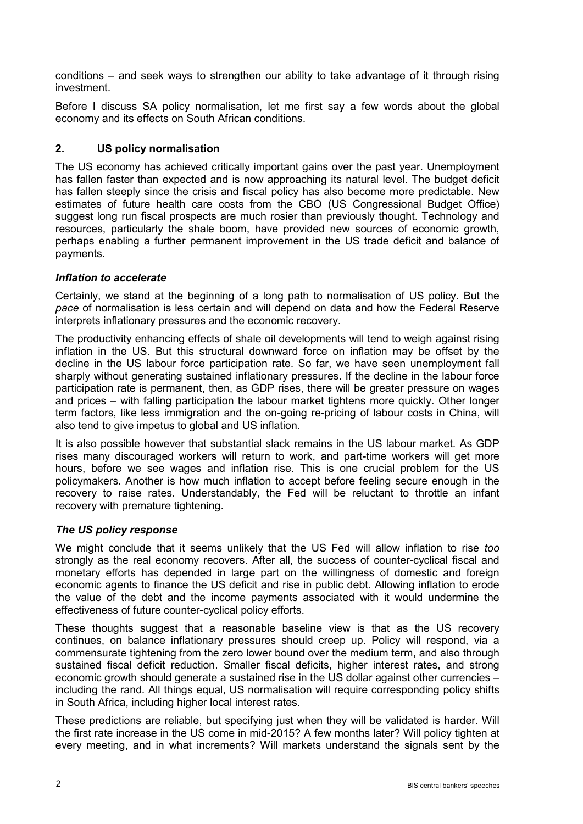conditions – and seek ways to strengthen our ability to take advantage of it through rising investment.

Before I discuss SA policy normalisation, let me first say a few words about the global economy and its effects on South African conditions.

# **2. US policy normalisation**

The US economy has achieved critically important gains over the past year. Unemployment has fallen faster than expected and is now approaching its natural level. The budget deficit has fallen steeply since the crisis and fiscal policy has also become more predictable. New estimates of future health care costs from the CBO (US Congressional Budget Office) suggest long run fiscal prospects are much rosier than previously thought. Technology and resources, particularly the shale boom, have provided new sources of economic growth, perhaps enabling a further permanent improvement in the US trade deficit and balance of payments.

### *Inflation to accelerate*

Certainly, we stand at the beginning of a long path to normalisation of US policy. But the *pace* of normalisation is less certain and will depend on data and how the Federal Reserve interprets inflationary pressures and the economic recovery.

The productivity enhancing effects of shale oil developments will tend to weigh against rising inflation in the US. But this structural downward force on inflation may be offset by the decline in the US labour force participation rate. So far, we have seen unemployment fall sharply without generating sustained inflationary pressures. If the decline in the labour force participation rate is permanent, then, as GDP rises, there will be greater pressure on wages and prices – with falling participation the labour market tightens more quickly. Other longer term factors, like less immigration and the on-going re-pricing of labour costs in China, will also tend to give impetus to global and US inflation.

It is also possible however that substantial slack remains in the US labour market. As GDP rises many discouraged workers will return to work, and part-time workers will get more hours, before we see wages and inflation rise. This is one crucial problem for the US policymakers. Another is how much inflation to accept before feeling secure enough in the recovery to raise rates. Understandably, the Fed will be reluctant to throttle an infant recovery with premature tightening.

### *The US policy response*

We might conclude that it seems unlikely that the US Fed will allow inflation to rise *too*  strongly as the real economy recovers. After all, the success of counter-cyclical fiscal and monetary efforts has depended in large part on the willingness of domestic and foreign economic agents to finance the US deficit and rise in public debt. Allowing inflation to erode the value of the debt and the income payments associated with it would undermine the effectiveness of future counter-cyclical policy efforts.

These thoughts suggest that a reasonable baseline view is that as the US recovery continues, on balance inflationary pressures should creep up. Policy will respond, via a commensurate tightening from the zero lower bound over the medium term, and also through sustained fiscal deficit reduction. Smaller fiscal deficits, higher interest rates, and strong economic growth should generate a sustained rise in the US dollar against other currencies – including the rand. All things equal, US normalisation will require corresponding policy shifts in South Africa, including higher local interest rates.

These predictions are reliable, but specifying just when they will be validated is harder. Will the first rate increase in the US come in mid-2015? A few months later? Will policy tighten at every meeting, and in what increments? Will markets understand the signals sent by the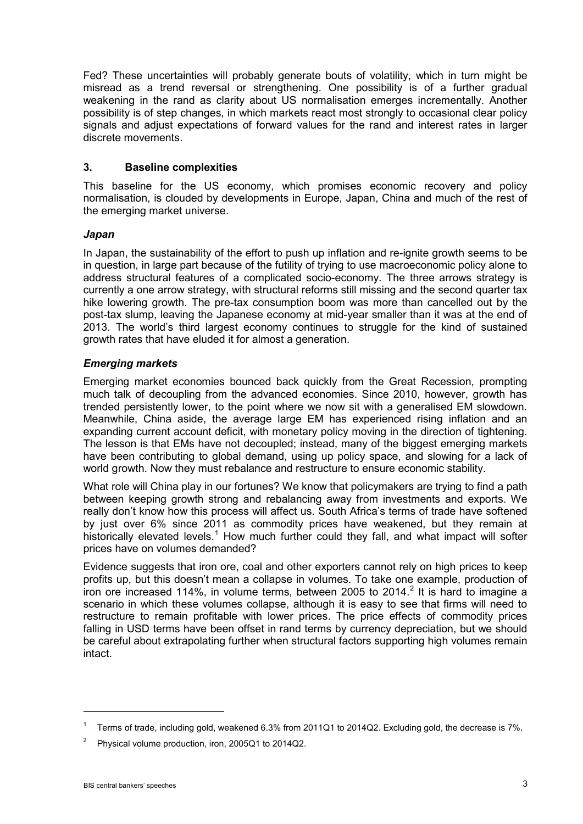Fed? These uncertainties will probably generate bouts of volatility, which in turn might be misread as a trend reversal or strengthening. One possibility is of a further gradual weakening in the rand as clarity about US normalisation emerges incrementally. Another possibility is of step changes, in which markets react most strongly to occasional clear policy signals and adjust expectations of forward values for the rand and interest rates in larger discrete movements.

### **3. Baseline complexities**

This baseline for the US economy, which promises economic recovery and policy normalisation, is clouded by developments in Europe, Japan, China and much of the rest of the emerging market universe.

### *Japan*

In Japan, the sustainability of the effort to push up inflation and re-ignite growth seems to be in question, in large part because of the futility of trying to use macroeconomic policy alone to address structural features of a complicated socio-economy. The three arrows strategy is currently a one arrow strategy, with structural reforms still missing and the second quarter tax hike lowering growth. The pre-tax consumption boom was more than cancelled out by the post-tax slump, leaving the Japanese economy at mid-year smaller than it was at the end of 2013. The world's third largest economy continues to struggle for the kind of sustained growth rates that have eluded it for almost a generation.

# *Emerging markets*

Emerging market economies bounced back quickly from the Great Recession, prompting much talk of decoupling from the advanced economies. Since 2010, however, growth has trended persistently lower, to the point where we now sit with a generalised EM slowdown. Meanwhile, China aside, the average large EM has experienced rising inflation and an expanding current account deficit, with monetary policy moving in the direction of tightening. The lesson is that EMs have not decoupled; instead, many of the biggest emerging markets have been contributing to global demand, using up policy space, and slowing for a lack of world growth. Now they must rebalance and restructure to ensure economic stability.

What role will China play in our fortunes? We know that policymakers are trying to find a path between keeping growth strong and rebalancing away from investments and exports. We really don't know how this process will affect us. South Africa's terms of trade have softened by just over 6% since 2011 as commodity prices have weakened, but they remain at historically elevated levels.<sup>[1](#page-0-0)</sup> How much further could they fall, and what impact will softer prices have on volumes demanded?

Evidence suggests that iron ore, coal and other exporters cannot rely on high prices to keep profits up, but this doesn't mean a collapse in volumes. To take one example, production of iron ore increased 114%, in volume terms, between [2](#page-2-0)005 to 2014.<sup>2</sup> It is hard to imagine a scenario in which these volumes collapse, although it is easy to see that firms will need to restructure to remain profitable with lower prices. The price effects of commodity prices falling in USD terms have been offset in rand terms by currency depreciation, but we should be careful about extrapolating further when structural factors supporting high volumes remain intact.

<sup>1</sup> Terms of trade, including gold, weakened 6.3% from 2011Q1 to 2014Q2. Excluding gold, the decrease is 7%.

<span id="page-2-0"></span><sup>2</sup> Physical volume production, iron, 2005Q1 to 2014Q2.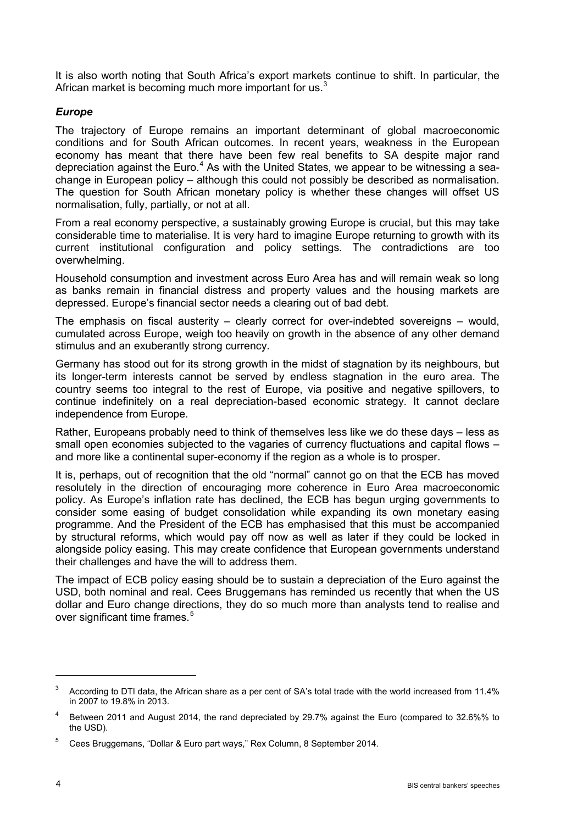It is also worth noting that South Africa's export markets continue to shift. In particular, the African market is becoming much more important for us.<sup>[3](#page-3-0)</sup>

# *Europe*

The trajectory of Europe remains an important determinant of global macroeconomic conditions and for South African outcomes. In recent years, weakness in the European economy has meant that there have been few real benefits to SA despite major rand depreciation against the Euro.<sup>[4](#page-3-1)</sup> As with the United States, we appear to be witnessing a seachange in European policy – although this could not possibly be described as normalisation. The question for South African monetary policy is whether these changes will offset US normalisation, fully, partially, or not at all.

From a real economy perspective, a sustainably growing Europe is crucial, but this may take considerable time to materialise. It is very hard to imagine Europe returning to growth with its current institutional configuration and policy settings. The contradictions are too overwhelming.

Household consumption and investment across Euro Area has and will remain weak so long as banks remain in financial distress and property values and the housing markets are depressed. Europe's financial sector needs a clearing out of bad debt.

The emphasis on fiscal austerity – clearly correct for over-indebted sovereigns – would, cumulated across Europe, weigh too heavily on growth in the absence of any other demand stimulus and an exuberantly strong currency.

Germany has stood out for its strong growth in the midst of stagnation by its neighbours, but its longer-term interests cannot be served by endless stagnation in the euro area. The country seems too integral to the rest of Europe, via positive and negative spillovers, to continue indefinitely on a real depreciation-based economic strategy. It cannot declare independence from Europe.

Rather, Europeans probably need to think of themselves less like we do these days – less as small open economies subjected to the vagaries of currency fluctuations and capital flows – and more like a continental super-economy if the region as a whole is to prosper.

It is, perhaps, out of recognition that the old "normal" cannot go on that the ECB has moved resolutely in the direction of encouraging more coherence in Euro Area macroeconomic policy. As Europe's inflation rate has declined, the ECB has begun urging governments to consider some easing of budget consolidation while expanding its own monetary easing programme. And the President of the ECB has emphasised that this must be accompanied by structural reforms, which would pay off now as well as later if they could be locked in alongside policy easing. This may create confidence that European governments understand their challenges and have the will to address them.

The impact of ECB policy easing should be to sustain a depreciation of the Euro against the USD, both nominal and real. Cees Bruggemans has reminded us recently that when the US dollar and Euro change directions, they do so much more than analysts tend to realise and over significant time frames.<sup>[5](#page-3-2)</sup>

<span id="page-3-0"></span> $3$  According to DTI data, the African share as a per cent of SA's total trade with the world increased from 11.4% in 2007 to 19.8% in 2013.

<span id="page-3-1"></span><sup>4</sup> Between 2011 and August 2014, the rand depreciated by 29.7% against the Euro (compared to 32.6%% to the USD).

<span id="page-3-2"></span><sup>5</sup> Cees Bruggemans, "Dollar & Euro part ways," Rex Column, 8 September 2014.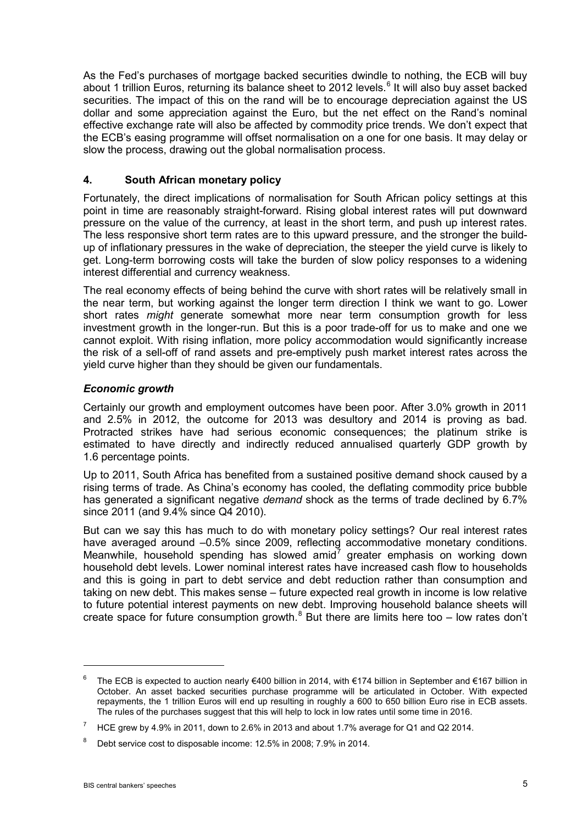As the Fed's purchases of mortgage backed securities dwindle to nothing, the ECB will buy about 1 trillion Euros, returning its balance sheet to 2012 levels.<sup>[6](#page-4-0)</sup> It will also buy asset backed securities. The impact of this on the rand will be to encourage depreciation against the US dollar and some appreciation against the Euro, but the net effect on the Rand's nominal effective exchange rate will also be affected by commodity price trends. We don't expect that the ECB's easing programme will offset normalisation on a one for one basis. It may delay or slow the process, drawing out the global normalisation process.

### **4. South African monetary policy**

Fortunately, the direct implications of normalisation for South African policy settings at this point in time are reasonably straight-forward. Rising global interest rates will put downward pressure on the value of the currency, at least in the short term, and push up interest rates. The less responsive short term rates are to this upward pressure, and the stronger the buildup of inflationary pressures in the wake of depreciation, the steeper the yield curve is likely to get. Long-term borrowing costs will take the burden of slow policy responses to a widening interest differential and currency weakness.

The real economy effects of being behind the curve with short rates will be relatively small in the near term, but working against the longer term direction I think we want to go. Lower short rates *might* generate somewhat more near term consumption growth for less investment growth in the longer-run. But this is a poor trade-off for us to make and one we cannot exploit. With rising inflation, more policy accommodation would significantly increase the risk of a sell-off of rand assets and pre-emptively push market interest rates across the yield curve higher than they should be given our fundamentals.

### *Economic growth*

Certainly our growth and employment outcomes have been poor. After 3.0% growth in 2011 and 2.5% in 2012, the outcome for 2013 was desultory and 2014 is proving as bad. Protracted strikes have had serious economic consequences; the platinum strike is estimated to have directly and indirectly reduced annualised quarterly GDP growth by 1.6 percentage points.

Up to 2011, South Africa has benefited from a sustained positive demand shock caused by a rising terms of trade. As China's economy has cooled, the deflating commodity price bubble has generated a significant negative *demand* shock as the terms of trade declined by 6.7% since 2011 (and 9.4% since Q4 2010).

But can we say this has much to do with monetary policy settings? Our real interest rates have averaged around –0.5% since 2009, reflecting accommodative monetary conditions. Meanwhile, household spending has slowed amid<sup>[7](#page-4-1)</sup> greater emphasis on working down household debt levels. Lower nominal interest rates have increased cash flow to households and this is going in part to debt service and debt reduction rather than consumption and taking on new debt. This makes sense – future expected real growth in income is low relative to future potential interest payments on new debt. Improving household balance sheets will create space for future consumption growth.<sup>[8](#page-4-2)</sup> But there are limits here too – low rates don't

<span id="page-4-0"></span><sup>6</sup> The ECB is expected to auction nearly €400 billion in 2014, with €174 billion in September and €167 billion in October. An asset backed securities purchase programme will be articulated in October. With expected repayments, the 1 trillion Euros will end up resulting in roughly a 600 to 650 billion Euro rise in ECB assets. The rules of the purchases suggest that this will help to lock in low rates until some time in 2016.

<span id="page-4-1"></span><sup>&</sup>lt;sup>7</sup> HCE grew by 4.9% in 2011, down to 2.6% in 2013 and about 1.7% average for Q1 and Q2 2014.

<span id="page-4-2"></span><sup>&</sup>lt;sup>8</sup> Debt service cost to disposable income: 12.5% in 2008; 7.9% in 2014.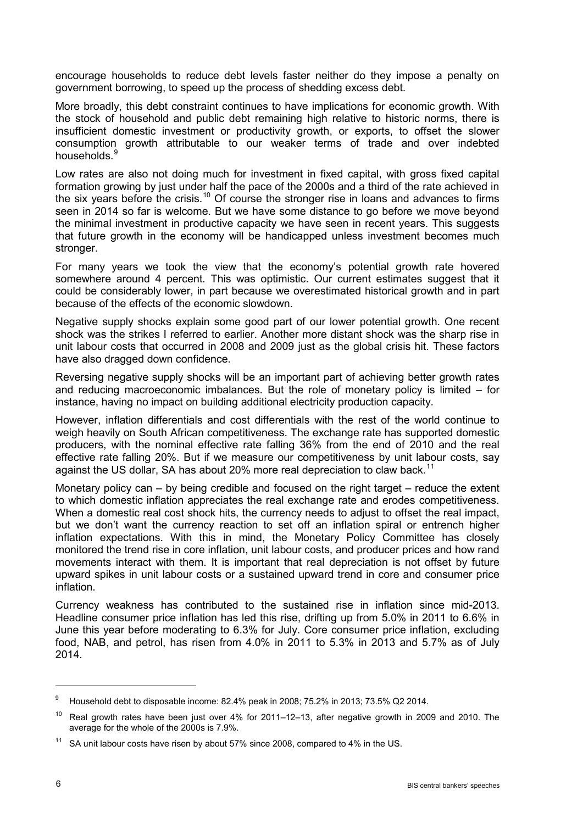encourage households to reduce debt levels faster neither do they impose a penalty on government borrowing, to speed up the process of shedding excess debt.

More broadly, this debt constraint continues to have implications for economic growth. With the stock of household and public debt remaining high relative to historic norms, there is insufficient domestic investment or productivity growth, or exports, to offset the slower consumption growth attributable to our weaker terms of trade and over indebted households.<sup>[9](#page-5-0)</sup>

Low rates are also not doing much for investment in fixed capital, with gross fixed capital formation growing by just under half the pace of the 2000s and a third of the rate achieved in the six years before the crisis.<sup>[10](#page-5-1)</sup> Of course the stronger rise in loans and advances to firms seen in 2014 so far is welcome. But we have some distance to go before we move beyond the minimal investment in productive capacity we have seen in recent years. This suggests that future growth in the economy will be handicapped unless investment becomes much stronger.

For many years we took the view that the economy's potential growth rate hovered somewhere around 4 percent. This was optimistic. Our current estimates suggest that it could be considerably lower, in part because we overestimated historical growth and in part because of the effects of the economic slowdown.

Negative supply shocks explain some good part of our lower potential growth. One recent shock was the strikes I referred to earlier. Another more distant shock was the sharp rise in unit labour costs that occurred in 2008 and 2009 just as the global crisis hit. These factors have also dragged down confidence.

Reversing negative supply shocks will be an important part of achieving better growth rates and reducing macroeconomic imbalances. But the role of monetary policy is limited – for instance, having no impact on building additional electricity production capacity.

However, inflation differentials and cost differentials with the rest of the world continue to weigh heavily on South African competitiveness. The exchange rate has supported domestic producers, with the nominal effective rate falling 36% from the end of 2010 and the real effective rate falling 20%. But if we measure our competitiveness by unit labour costs, say against the US dollar, SA has about 20% more real depreciation to claw back.<sup>[11](#page-5-2)</sup>

Monetary policy can – by being credible and focused on the right target – reduce the extent to which domestic inflation appreciates the real exchange rate and erodes competitiveness. When a domestic real cost shock hits, the currency needs to adjust to offset the real impact, but we don't want the currency reaction to set off an inflation spiral or entrench higher inflation expectations. With this in mind, the Monetary Policy Committee has closely monitored the trend rise in core inflation, unit labour costs, and producer prices and how rand movements interact with them. It is important that real depreciation is not offset by future upward spikes in unit labour costs or a sustained upward trend in core and consumer price inflation.

Currency weakness has contributed to the sustained rise in inflation since mid-2013. Headline consumer price inflation has led this rise, drifting up from 5.0% in 2011 to 6.6% in June this year before moderating to 6.3% for July. Core consumer price inflation, excluding food, NAB, and petrol, has risen from 4.0% in 2011 to 5.3% in 2013 and 5.7% as of July 2014.

<span id="page-5-0"></span> $9$  Household debt to disposable income: 82.4% peak in 2008; 75.2% in 2013; 73.5% Q2 2014.

<span id="page-5-1"></span> $10$  Real growth rates have been just over 4% for 2011–12–13, after negative growth in 2009 and 2010. The average for the whole of the 2000s is 7.9%.

<span id="page-5-2"></span> $11$  SA unit labour costs have risen by about 57% since 2008, compared to 4% in the US.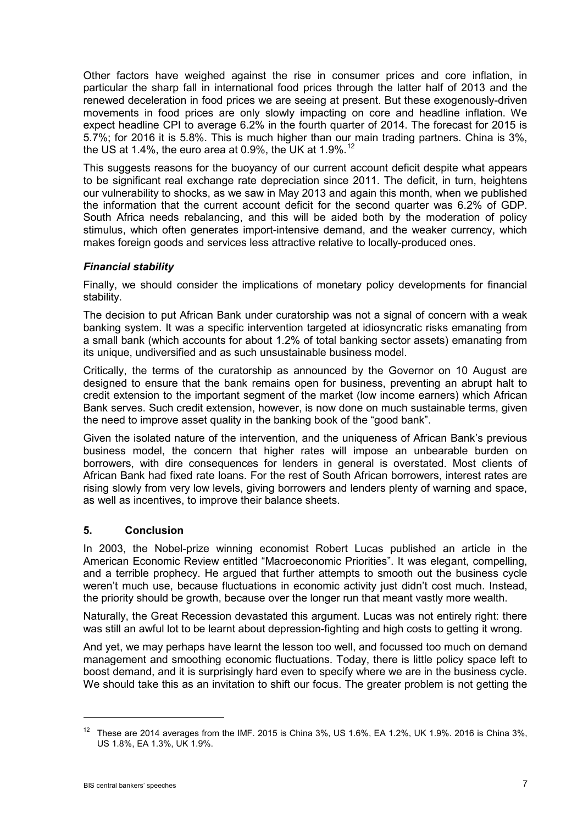Other factors have weighed against the rise in consumer prices and core inflation, in particular the sharp fall in international food prices through the latter half of 2013 and the renewed deceleration in food prices we are seeing at present. But these exogenously-driven movements in food prices are only slowly impacting on core and headline inflation. We expect headline CPI to average 6.2% in the fourth quarter of 2014. The forecast for 2015 is 5.7%; for 2016 it is 5.8%. This is much higher than our main trading partners. China is 3%, the US at 1.4%, the euro area at 0.9%, the UK at 1.9%.<sup>[12](#page-6-0)</sup>

This suggests reasons for the buoyancy of our current account deficit despite what appears to be significant real exchange rate depreciation since 2011. The deficit, in turn, heightens our vulnerability to shocks, as we saw in May 2013 and again this month, when we published the information that the current account deficit for the second quarter was 6.2% of GDP. South Africa needs rebalancing, and this will be aided both by the moderation of policy stimulus, which often generates import-intensive demand, and the weaker currency, which makes foreign goods and services less attractive relative to locally-produced ones.

# *Financial stability*

Finally, we should consider the implications of monetary policy developments for financial stability.

The decision to put African Bank under curatorship was not a signal of concern with a weak banking system. It was a specific intervention targeted at idiosyncratic risks emanating from a small bank (which accounts for about 1.2% of total banking sector assets) emanating from its unique, undiversified and as such unsustainable business model.

Critically, the terms of the curatorship as announced by the Governor on 10 August are designed to ensure that the bank remains open for business, preventing an abrupt halt to credit extension to the important segment of the market (low income earners) which African Bank serves. Such credit extension, however, is now done on much sustainable terms, given the need to improve asset quality in the banking book of the "good bank".

Given the isolated nature of the intervention, and the uniqueness of African Bank's previous business model, the concern that higher rates will impose an unbearable burden on borrowers, with dire consequences for lenders in general is overstated. Most clients of African Bank had fixed rate loans. For the rest of South African borrowers, interest rates are rising slowly from very low levels, giving borrowers and lenders plenty of warning and space, as well as incentives, to improve their balance sheets.

### **5. Conclusion**

In 2003, the Nobel-prize winning economist Robert Lucas published an article in the American Economic Review entitled "Macroeconomic Priorities". It was elegant, compelling, and a terrible prophecy. He argued that further attempts to smooth out the business cycle weren't much use, because fluctuations in economic activity just didn't cost much. Instead, the priority should be growth, because over the longer run that meant vastly more wealth.

Naturally, the Great Recession devastated this argument. Lucas was not entirely right: there was still an awful lot to be learnt about depression-fighting and high costs to getting it wrong.

And yet, we may perhaps have learnt the lesson too well, and focussed too much on demand management and smoothing economic fluctuations. Today, there is little policy space left to boost demand, and it is surprisingly hard even to specify where we are in the business cycle. We should take this as an invitation to shift our focus. The greater problem is not getting the

<span id="page-6-0"></span><sup>&</sup>lt;sup>12</sup> These are 2014 averages from the IMF. 2015 is China 3%, US 1.6%, EA 1.2%, UK 1.9%. 2016 is China 3%, US 1.8%, EA 1.3%, UK 1.9%.